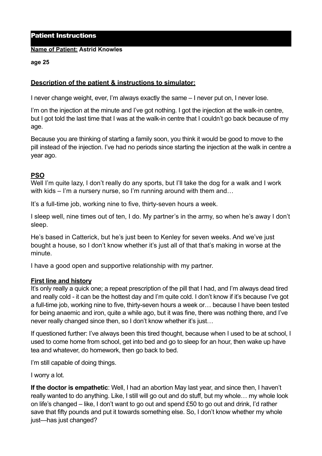### Patient Instructions

#### **Name of Patient: Astrid Knowles**

#### **age 25**

## **Description of the patient & instructions to simulator:**

I never change weight, ever, I'm always exactly the same – I never put on, I never lose.

I'm on the injection at the minute and I've got nothing. I got the injection at the walk-in centre, but I got told the last time that I was at the walk-in centre that I couldn't go back because of my age.

Because you are thinking of starting a family soon, you think it would be good to move to the pill instead of the injection. I've had no periods since starting the injection at the walk in centre a year ago.

# **PSO**

Well I'm quite lazy, I don't really do any sports, but I'll take the dog for a walk and I work with kids – I'm a nursery nurse, so I'm running around with them and…

It's a full-time job, working nine to five, thirty-seven hours a week.

I sleep well, nine times out of ten, I do. My partner's in the army, so when he's away I don't sleep.

He's based in Catterick, but he's just been to Kenley for seven weeks. And we've just bought a house, so I don't know whether it's just all of that that's making in worse at the minute.

I have a good open and supportive relationship with my partner.

### **First line and history**

It's only really a quick one; a repeat prescription of the pill that I had, and I'm always dead tired and really cold - it can be the hottest day and I'm quite cold. I don't know if it's because I've got a full-time job, working nine to five, thirty-seven hours a week or… because I have been tested for being anaemic and iron, quite a while ago, but it was fine, there was nothing there, and I've never really changed since then, so I don't know whether it's just…

If questioned further: I've always been this tired thought, because when I used to be at school, I used to come home from school, get into bed and go to sleep for an hour, then wake up have tea and whatever, do homework, then go back to bed.

I'm still capable of doing things.

I worry a lot.

**If the doctor is empathetic**: Well, I had an abortion May last year, and since then, I haven't really wanted to do anything. Like, I still will go out and do stuff, but my whole… my whole look on life's changed – like, I don't want to go out and spend £50 to go out and drink, I'd rather save that fifty pounds and put it towards something else. So, I don't know whether my whole just—has just changed?